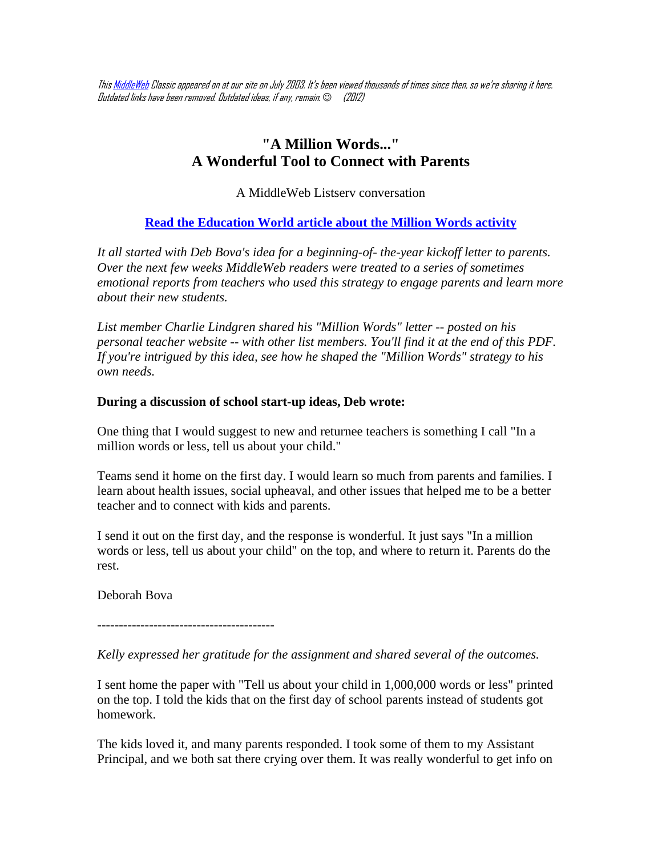Thi[s MiddleWeb](http://www.middleweb.com/) Classic appeared on at our site on July 2003. It's been viewed thousands of times since then, so we're sharing it here. Outdated links have been removed. Outdated ideas, if any, remain.  $\odot$  (2012)

# **"A Million Words..." A Wonderful Tool to Connect with Parents**

A MiddleWeb Listserv conversation

**[Read the Education World article about the Million Words activity](http://www.educationworld.com/a_curr/profdev/profdev080.shtml)**

*It all started with Deb Bova's idea for a beginning-of- the-year kickoff letter to parents. Over the next few weeks MiddleWeb readers were treated to a series of sometimes emotional reports from teachers who used this strategy to engage parents and learn more about their new students.*

*List member Charlie Lindgren shared his "Million Words" letter -- posted on his personal teacher website -- with other list members. You'll find it at the end of this PDF. If you're intrigued by this idea, see how he shaped the "Million Words" strategy to his own needs.*

## **During a discussion of school start-up ideas, Deb wrote:**

One thing that I would suggest to new and returnee teachers is something I call "In a million words or less, tell us about your child."

Teams send it home on the first day. I would learn so much from parents and families. I learn about health issues, social upheaval, and other issues that helped me to be a better teacher and to connect with kids and parents.

I send it out on the first day, and the response is wonderful. It just says "In a million words or less, tell us about your child" on the top, and where to return it. Parents do the rest.

Deborah Bova

-----------------------------------------

*Kelly expressed her gratitude for the assignment and shared several of the outcomes.*

I sent home the paper with "Tell us about your child in 1,000,000 words or less" printed on the top. I told the kids that on the first day of school parents instead of students got homework.

The kids loved it, and many parents responded. I took some of them to my Assistant Principal, and we both sat there crying over them. It was really wonderful to get info on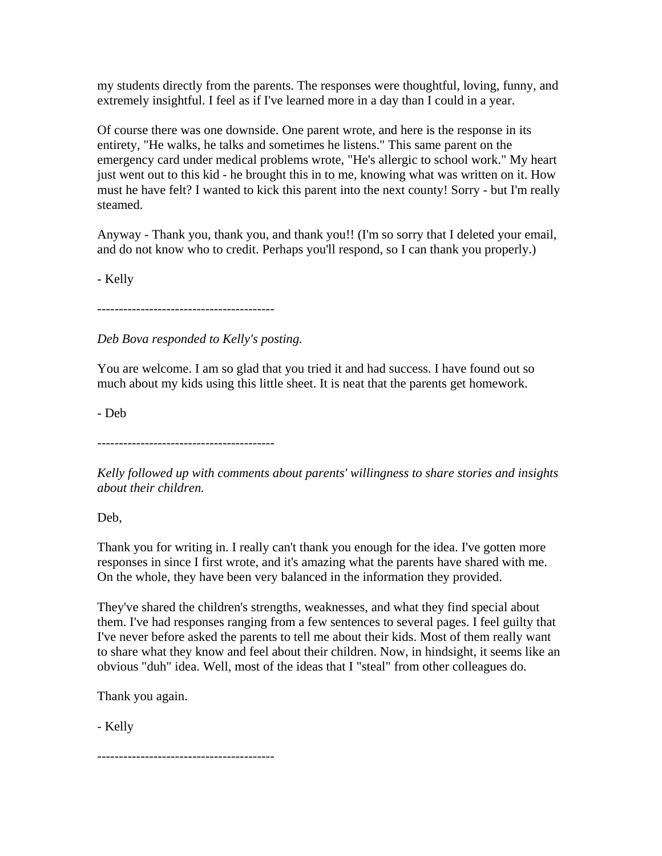my students directly from the parents. The responses were thoughtful, loving, funny, and extremely insightful. I feel as if I've learned more in a day than I could in a year.

Of course there was one downside. One parent wrote, and here is the response in its entirety, "He walks, he talks and sometimes he listens." This same parent on the emergency card under medical problems wrote, "He's allergic to school work." My heart just went out to this kid - he brought this in to me, knowing what was written on it. How must he have felt? I wanted to kick this parent into the next county! Sorry - but I'm really steamed.

Anyway - Thank you, thank you, and thank you!! (I'm so sorry that I deleted your email, and do not know who to credit. Perhaps you'll respond, so I can thank you properly.)

- Kelly

-----------------------------------------

*Deb Bova responded to Kelly's posting.*

You are welcome. I am so glad that you tried it and had success. I have found out so much about my kids using this little sheet. It is neat that the parents get homework.

- Deb

-----------------------------------------

*Kelly followed up with comments about parents' willingness to share stories and insights about their children.*

Deb,

Thank you for writing in. I really can't thank you enough for the idea. I've gotten more responses in since I first wrote, and it's amazing what the parents have shared with me. On the whole, they have been very balanced in the information they provided.

They've shared the children's strengths, weaknesses, and what they find special about them. I've had responses ranging from a few sentences to several pages. I feel guilty that I've never before asked the parents to tell me about their kids. Most of them really want to share what they know and feel about their children. Now, in hindsight, it seems like an obvious "duh" idea. Well, most of the ideas that I "steal" from other colleagues do.

Thank you again.

- Kelly

-----------------------------------------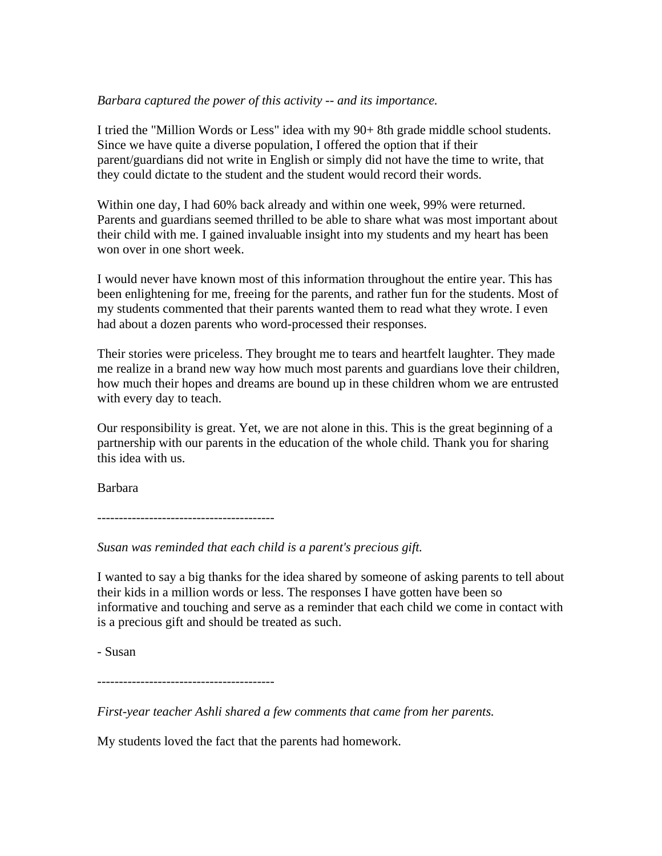## *Barbara captured the power of this activity -- and its importance.*

I tried the "Million Words or Less" idea with my 90+ 8th grade middle school students. Since we have quite a diverse population, I offered the option that if their parent/guardians did not write in English or simply did not have the time to write, that they could dictate to the student and the student would record their words.

Within one day, I had 60% back already and within one week, 99% were returned. Parents and guardians seemed thrilled to be able to share what was most important about their child with me. I gained invaluable insight into my students and my heart has been won over in one short week.

I would never have known most of this information throughout the entire year. This has been enlightening for me, freeing for the parents, and rather fun for the students. Most of my students commented that their parents wanted them to read what they wrote. I even had about a dozen parents who word-processed their responses.

Their stories were priceless. They brought me to tears and heartfelt laughter. They made me realize in a brand new way how much most parents and guardians love their children, how much their hopes and dreams are bound up in these children whom we are entrusted with every day to teach.

Our responsibility is great. Yet, we are not alone in this. This is the great beginning of a partnership with our parents in the education of the whole child. Thank you for sharing this idea with us.

Barbara

-----------------------------------------

*Susan was reminded that each child is a parent's precious gift.*

I wanted to say a big thanks for the idea shared by someone of asking parents to tell about their kids in a million words or less. The responses I have gotten have been so informative and touching and serve as a reminder that each child we come in contact with is a precious gift and should be treated as such.

- Susan

-----------------------------------------

*First-year teacher Ashli shared a few comments that came from her parents.*

My students loved the fact that the parents had homework.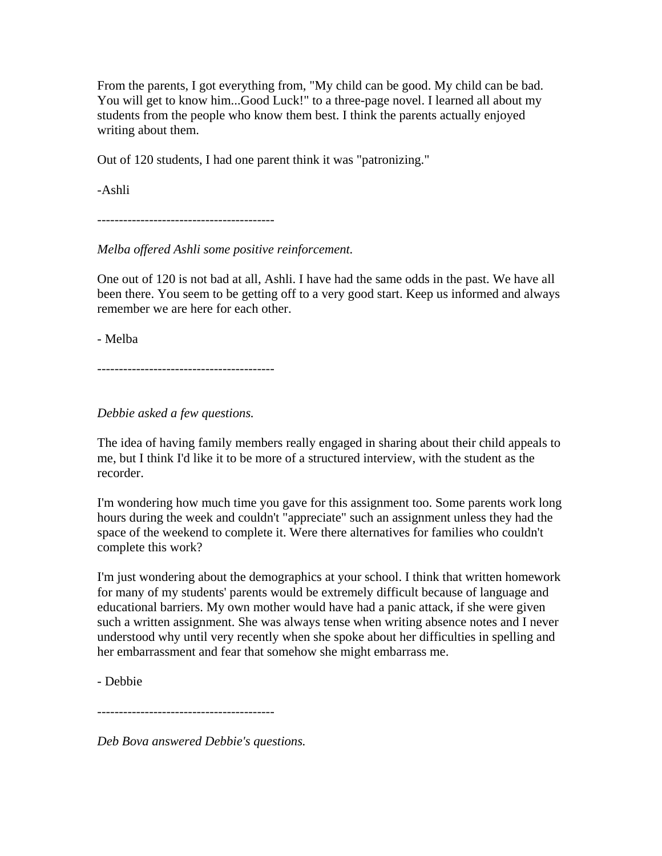From the parents, I got everything from, "My child can be good. My child can be bad. You will get to know him...Good Luck!" to a three-page novel. I learned all about my students from the people who know them best. I think the parents actually enjoyed writing about them.

Out of 120 students, I had one parent think it was "patronizing."

-Ashli

-----------------------------------------

*Melba offered Ashli some positive reinforcement.*

One out of 120 is not bad at all, Ashli. I have had the same odds in the past. We have all been there. You seem to be getting off to a very good start. Keep us informed and always remember we are here for each other.

- Melba

-----------------------------------------

*Debbie asked a few questions.*

The idea of having family members really engaged in sharing about their child appeals to me, but I think I'd like it to be more of a structured interview, with the student as the recorder.

I'm wondering how much time you gave for this assignment too. Some parents work long hours during the week and couldn't "appreciate" such an assignment unless they had the space of the weekend to complete it. Were there alternatives for families who couldn't complete this work?

I'm just wondering about the demographics at your school. I think that written homework for many of my students' parents would be extremely difficult because of language and educational barriers. My own mother would have had a panic attack, if she were given such a written assignment. She was always tense when writing absence notes and I never understood why until very recently when she spoke about her difficulties in spelling and her embarrassment and fear that somehow she might embarrass me.

- Debbie

-----------------------------------------

*Deb Bova answered Debbie's questions.*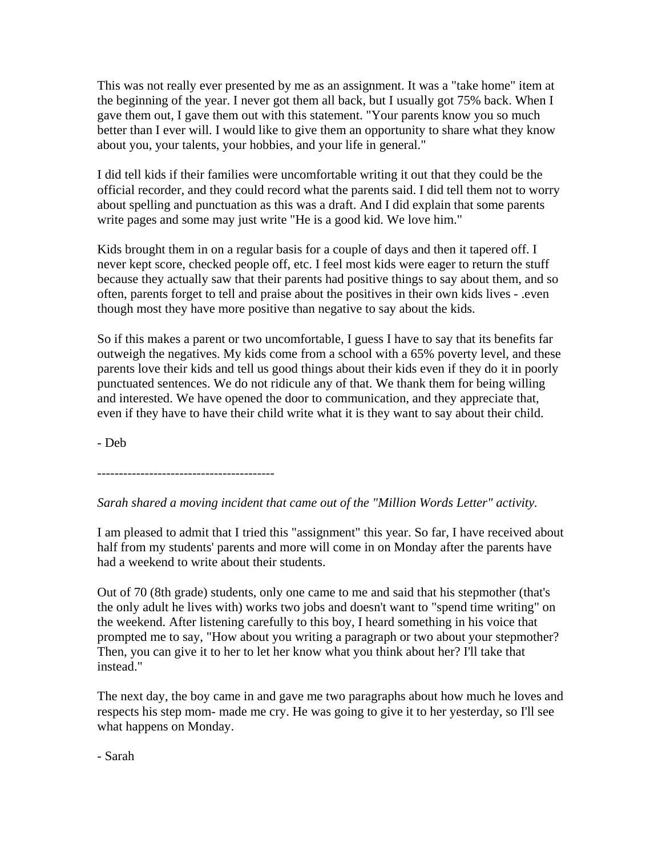This was not really ever presented by me as an assignment. It was a "take home" item at the beginning of the year. I never got them all back, but I usually got 75% back. When I gave them out, I gave them out with this statement. "Your parents know you so much better than I ever will. I would like to give them an opportunity to share what they know about you, your talents, your hobbies, and your life in general."

I did tell kids if their families were uncomfortable writing it out that they could be the official recorder, and they could record what the parents said. I did tell them not to worry about spelling and punctuation as this was a draft. And I did explain that some parents write pages and some may just write "He is a good kid. We love him."

Kids brought them in on a regular basis for a couple of days and then it tapered off. I never kept score, checked people off, etc. I feel most kids were eager to return the stuff because they actually saw that their parents had positive things to say about them, and so often, parents forget to tell and praise about the positives in their own kids lives - .even though most they have more positive than negative to say about the kids.

So if this makes a parent or two uncomfortable, I guess I have to say that its benefits far outweigh the negatives. My kids come from a school with a 65% poverty level, and these parents love their kids and tell us good things about their kids even if they do it in poorly punctuated sentences. We do not ridicule any of that. We thank them for being willing and interested. We have opened the door to communication, and they appreciate that, even if they have to have their child write what it is they want to say about their child.

- Deb

-----------------------------------------

# *Sarah shared a moving incident that came out of the "Million Words Letter" activity.*

I am pleased to admit that I tried this "assignment" this year. So far, I have received about half from my students' parents and more will come in on Monday after the parents have had a weekend to write about their students.

Out of 70 (8th grade) students, only one came to me and said that his stepmother (that's the only adult he lives with) works two jobs and doesn't want to "spend time writing" on the weekend. After listening carefully to this boy, I heard something in his voice that prompted me to say, "How about you writing a paragraph or two about your stepmother? Then, you can give it to her to let her know what you think about her? I'll take that instead."

The next day, the boy came in and gave me two paragraphs about how much he loves and respects his step mom- made me cry. He was going to give it to her yesterday, so I'll see what happens on Monday.

- Sarah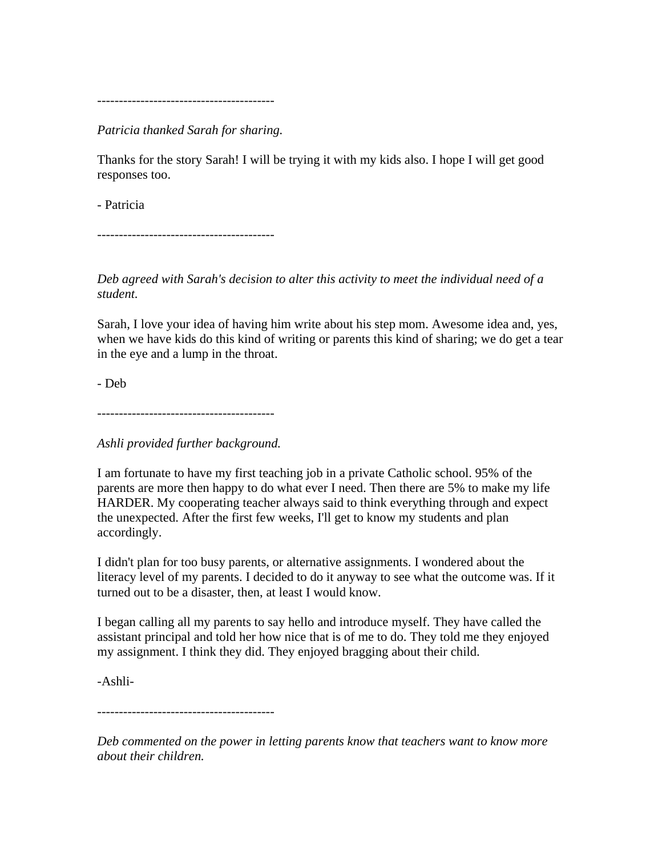-----------------------------------------

*Patricia thanked Sarah for sharing.*

Thanks for the story Sarah! I will be trying it with my kids also. I hope I will get good responses too.

- Patricia

-----------------------------------------

*Deb agreed with Sarah's decision to alter this activity to meet the individual need of a student.*

Sarah, I love your idea of having him write about his step mom. Awesome idea and, yes, when we have kids do this kind of writing or parents this kind of sharing; we do get a tear in the eye and a lump in the throat.

- Deb

-----------------------------------------

*Ashli provided further background.*

I am fortunate to have my first teaching job in a private Catholic school. 95% of the parents are more then happy to do what ever I need. Then there are 5% to make my life HARDER. My cooperating teacher always said to think everything through and expect the unexpected. After the first few weeks, I'll get to know my students and plan accordingly.

I didn't plan for too busy parents, or alternative assignments. I wondered about the literacy level of my parents. I decided to do it anyway to see what the outcome was. If it turned out to be a disaster, then, at least I would know.

I began calling all my parents to say hello and introduce myself. They have called the assistant principal and told her how nice that is of me to do. They told me they enjoyed my assignment. I think they did. They enjoyed bragging about their child.

-Ashli-

-----------------------------------------

*Deb commented on the power in letting parents know that teachers want to know more about their children.*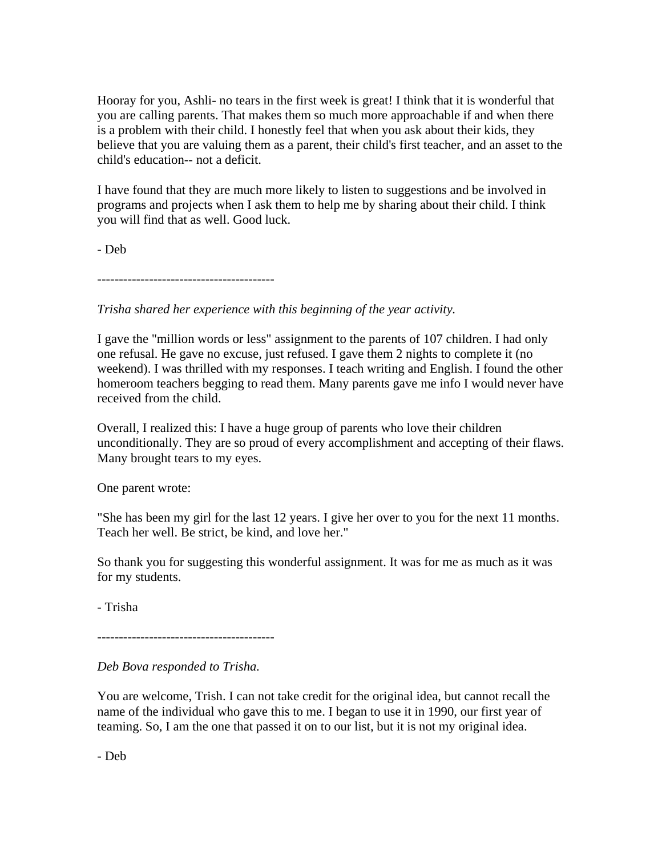Hooray for you, Ashli- no tears in the first week is great! I think that it is wonderful that you are calling parents. That makes them so much more approachable if and when there is a problem with their child. I honestly feel that when you ask about their kids, they believe that you are valuing them as a parent, their child's first teacher, and an asset to the child's education-- not a deficit.

I have found that they are much more likely to listen to suggestions and be involved in programs and projects when I ask them to help me by sharing about their child. I think you will find that as well. Good luck.

- Deb

-----------------------------------------

*Trisha shared her experience with this beginning of the year activity.*

I gave the "million words or less" assignment to the parents of 107 children. I had only one refusal. He gave no excuse, just refused. I gave them 2 nights to complete it (no weekend). I was thrilled with my responses. I teach writing and English. I found the other homeroom teachers begging to read them. Many parents gave me info I would never have received from the child.

Overall, I realized this: I have a huge group of parents who love their children unconditionally. They are so proud of every accomplishment and accepting of their flaws. Many brought tears to my eyes.

One parent wrote:

"She has been my girl for the last 12 years. I give her over to you for the next 11 months. Teach her well. Be strict, be kind, and love her."

So thank you for suggesting this wonderful assignment. It was for me as much as it was for my students.

- Trisha

-----------------------------------------

*Deb Bova responded to Trisha.*

You are welcome, Trish. I can not take credit for the original idea, but cannot recall the name of the individual who gave this to me. I began to use it in 1990, our first year of teaming. So, I am the one that passed it on to our list, but it is not my original idea.

- Deb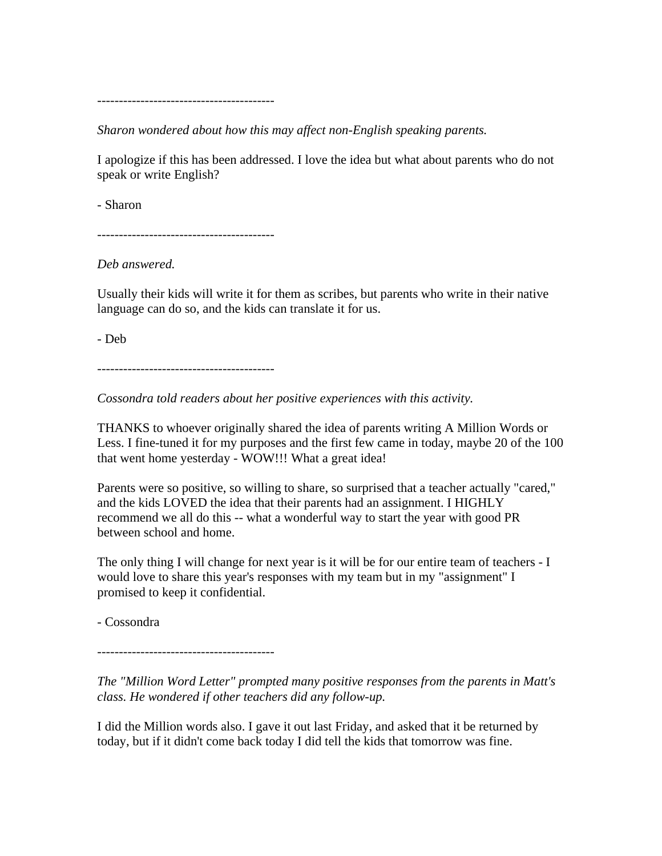-----------------------------------------

*Sharon wondered about how this may affect non-English speaking parents.*

I apologize if this has been addressed. I love the idea but what about parents who do not speak or write English?

- Sharon

-----------------------------------------

*Deb answered.*

Usually their kids will write it for them as scribes, but parents who write in their native language can do so, and the kids can translate it for us.

- Deb

-----------------------------------------

*Cossondra told readers about her positive experiences with this activity.*

THANKS to whoever originally shared the idea of parents writing A Million Words or Less. I fine-tuned it for my purposes and the first few came in today, maybe 20 of the 100 that went home yesterday - WOW!!! What a great idea!

Parents were so positive, so willing to share, so surprised that a teacher actually "cared," and the kids LOVED the idea that their parents had an assignment. I HIGHLY recommend we all do this -- what a wonderful way to start the year with good PR between school and home.

The only thing I will change for next year is it will be for our entire team of teachers - I would love to share this year's responses with my team but in my "assignment" I promised to keep it confidential.

- Cossondra

-----------------------------------------

*The "Million Word Letter" prompted many positive responses from the parents in Matt's class. He wondered if other teachers did any follow-up.*

I did the Million words also. I gave it out last Friday, and asked that it be returned by today, but if it didn't come back today I did tell the kids that tomorrow was fine.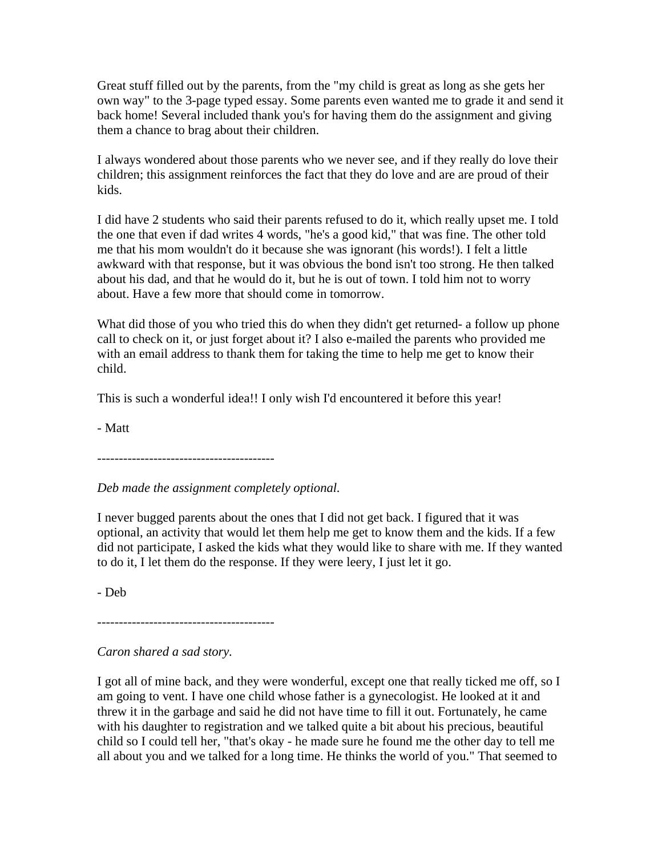Great stuff filled out by the parents, from the "my child is great as long as she gets her own way" to the 3-page typed essay. Some parents even wanted me to grade it and send it back home! Several included thank you's for having them do the assignment and giving them a chance to brag about their children.

I always wondered about those parents who we never see, and if they really do love their children; this assignment reinforces the fact that they do love and are are proud of their kids.

I did have 2 students who said their parents refused to do it, which really upset me. I told the one that even if dad writes 4 words, "he's a good kid," that was fine. The other told me that his mom wouldn't do it because she was ignorant (his words!). I felt a little awkward with that response, but it was obvious the bond isn't too strong. He then talked about his dad, and that he would do it, but he is out of town. I told him not to worry about. Have a few more that should come in tomorrow.

What did those of you who tried this do when they didn't get returned- a follow up phone call to check on it, or just forget about it? I also e-mailed the parents who provided me with an email address to thank them for taking the time to help me get to know their child.

This is such a wonderful idea!! I only wish I'd encountered it before this year!

- Matt

-----------------------------------------

*Deb made the assignment completely optional.*

I never bugged parents about the ones that I did not get back. I figured that it was optional, an activity that would let them help me get to know them and the kids. If a few did not participate, I asked the kids what they would like to share with me. If they wanted to do it, I let them do the response. If they were leery, I just let it go.

- Deb

-----------------------------------------

# *Caron shared a sad story.*

I got all of mine back, and they were wonderful, except one that really ticked me off, so I am going to vent. I have one child whose father is a gynecologist. He looked at it and threw it in the garbage and said he did not have time to fill it out. Fortunately, he came with his daughter to registration and we talked quite a bit about his precious, beautiful child so I could tell her, "that's okay - he made sure he found me the other day to tell me all about you and we talked for a long time. He thinks the world of you." That seemed to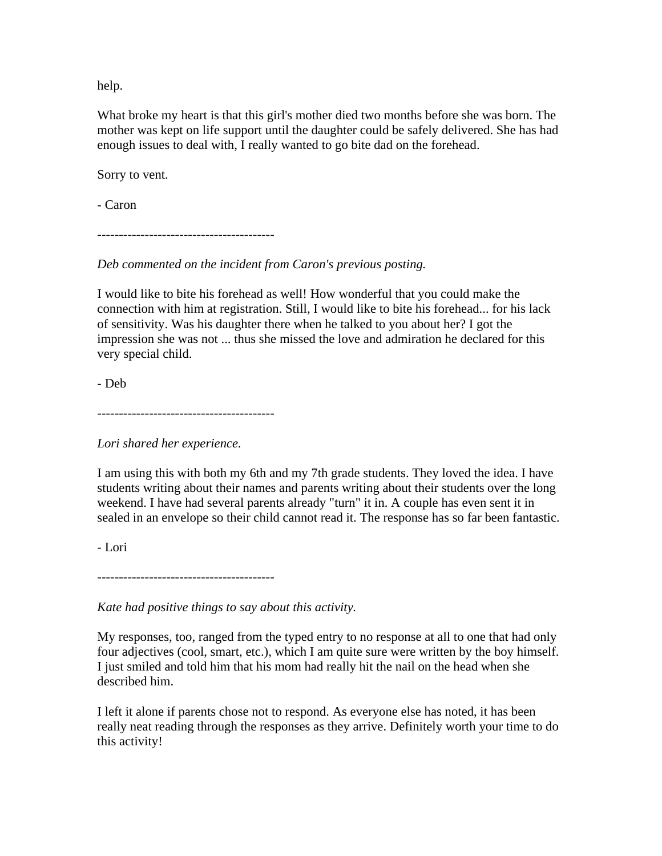help.

What broke my heart is that this girl's mother died two months before she was born. The mother was kept on life support until the daughter could be safely delivered. She has had enough issues to deal with, I really wanted to go bite dad on the forehead.

Sorry to vent.

- Caron

-----------------------------------------

*Deb commented on the incident from Caron's previous posting.* 

I would like to bite his forehead as well! How wonderful that you could make the connection with him at registration. Still, I would like to bite his forehead... for his lack of sensitivity. Was his daughter there when he talked to you about her? I got the impression she was not ... thus she missed the love and admiration he declared for this very special child.

- Deb

-----------------------------------------

*Lori shared her experience.*

I am using this with both my 6th and my 7th grade students. They loved the idea. I have students writing about their names and parents writing about their students over the long weekend. I have had several parents already "turn" it in. A couple has even sent it in sealed in an envelope so their child cannot read it. The response has so far been fantastic.

- Lori

-----------------------------------------

*Kate had positive things to say about this activity.*

My responses, too, ranged from the typed entry to no response at all to one that had only four adjectives (cool, smart, etc.), which I am quite sure were written by the boy himself. I just smiled and told him that his mom had really hit the nail on the head when she described him.

I left it alone if parents chose not to respond. As everyone else has noted, it has been really neat reading through the responses as they arrive. Definitely worth your time to do this activity!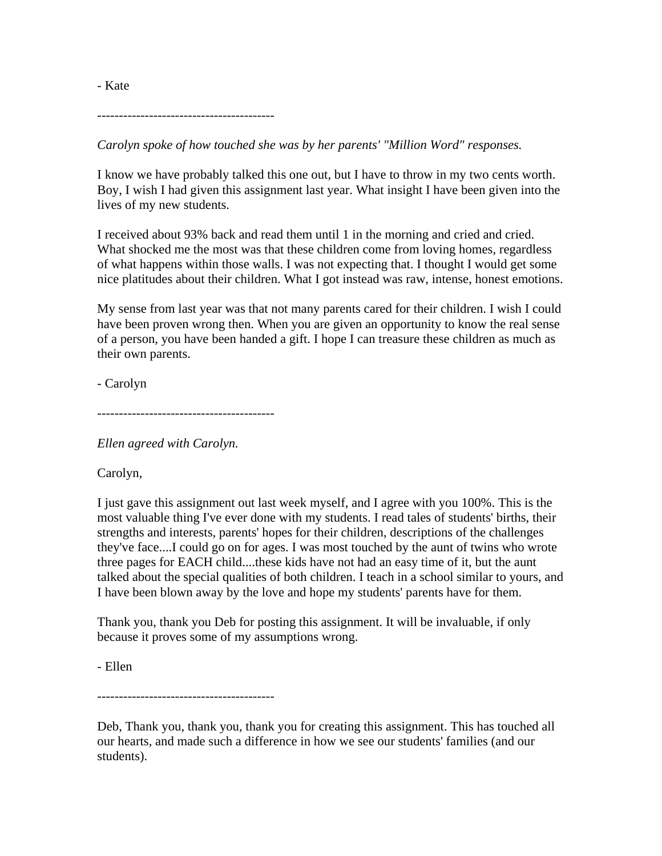-----------------------------------------

*Carolyn spoke of how touched she was by her parents' "Million Word" responses.* 

I know we have probably talked this one out, but I have to throw in my two cents worth. Boy, I wish I had given this assignment last year. What insight I have been given into the lives of my new students.

I received about 93% back and read them until 1 in the morning and cried and cried. What shocked me the most was that these children come from loving homes, regardless of what happens within those walls. I was not expecting that. I thought I would get some nice platitudes about their children. What I got instead was raw, intense, honest emotions.

My sense from last year was that not many parents cared for their children. I wish I could have been proven wrong then. When you are given an opportunity to know the real sense of a person, you have been handed a gift. I hope I can treasure these children as much as their own parents.

- Carolyn

-----------------------------------------

*Ellen agreed with Carolyn.*

Carolyn,

I just gave this assignment out last week myself, and I agree with you 100%. This is the most valuable thing I've ever done with my students. I read tales of students' births, their strengths and interests, parents' hopes for their children, descriptions of the challenges they've face....I could go on for ages. I was most touched by the aunt of twins who wrote three pages for EACH child....these kids have not had an easy time of it, but the aunt talked about the special qualities of both children. I teach in a school similar to yours, and I have been blown away by the love and hope my students' parents have for them.

Thank you, thank you Deb for posting this assignment. It will be invaluable, if only because it proves some of my assumptions wrong.

- Ellen

-----------------------------------------

Deb, Thank you, thank you, thank you for creating this assignment. This has touched all our hearts, and made such a difference in how we see our students' families (and our students).

- Kate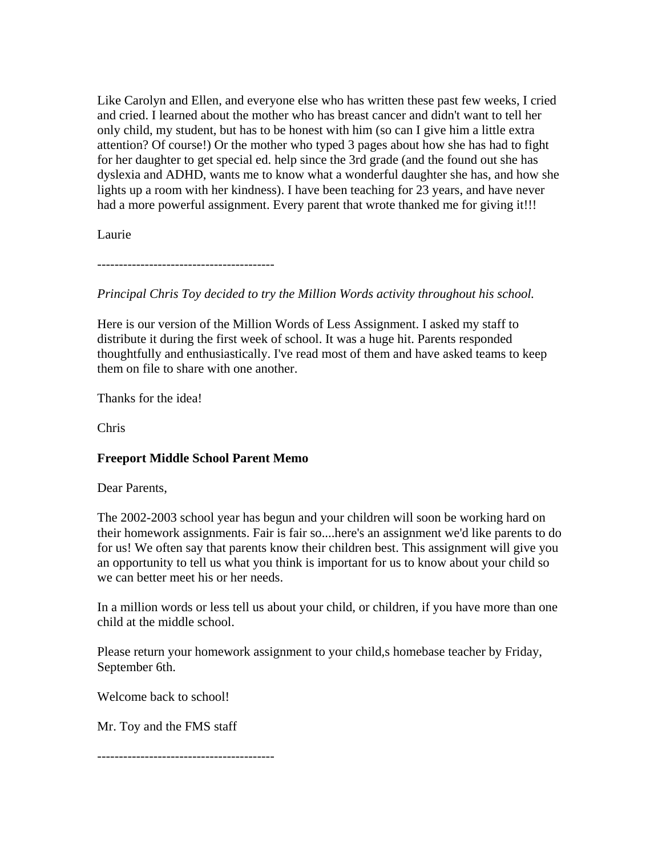Like Carolyn and Ellen, and everyone else who has written these past few weeks, I cried and cried. I learned about the mother who has breast cancer and didn't want to tell her only child, my student, but has to be honest with him (so can I give him a little extra attention? Of course!) Or the mother who typed 3 pages about how she has had to fight for her daughter to get special ed. help since the 3rd grade (and the found out she has dyslexia and ADHD, wants me to know what a wonderful daughter she has, and how she lights up a room with her kindness). I have been teaching for 23 years, and have never had a more powerful assignment. Every parent that wrote thanked me for giving it!!!

Laurie

-----------------------------------------

*Principal Chris Toy decided to try the Million Words activity throughout his school.*

Here is our version of the Million Words of Less Assignment. I asked my staff to distribute it during the first week of school. It was a huge hit. Parents responded thoughtfully and enthusiastically. I've read most of them and have asked teams to keep them on file to share with one another.

Thanks for the idea!

Chris

# **Freeport Middle School Parent Memo**

Dear Parents,

The 2002-2003 school year has begun and your children will soon be working hard on their homework assignments. Fair is fair so....here's an assignment we'd like parents to do for us! We often say that parents know their children best. This assignment will give you an opportunity to tell us what you think is important for us to know about your child so we can better meet his or her needs.

In a million words or less tell us about your child, or children, if you have more than one child at the middle school.

Please return your homework assignment to your child,s homebase teacher by Friday, September 6th.

Welcome back to school!

Mr. Toy and the FMS staff

-----------------------------------------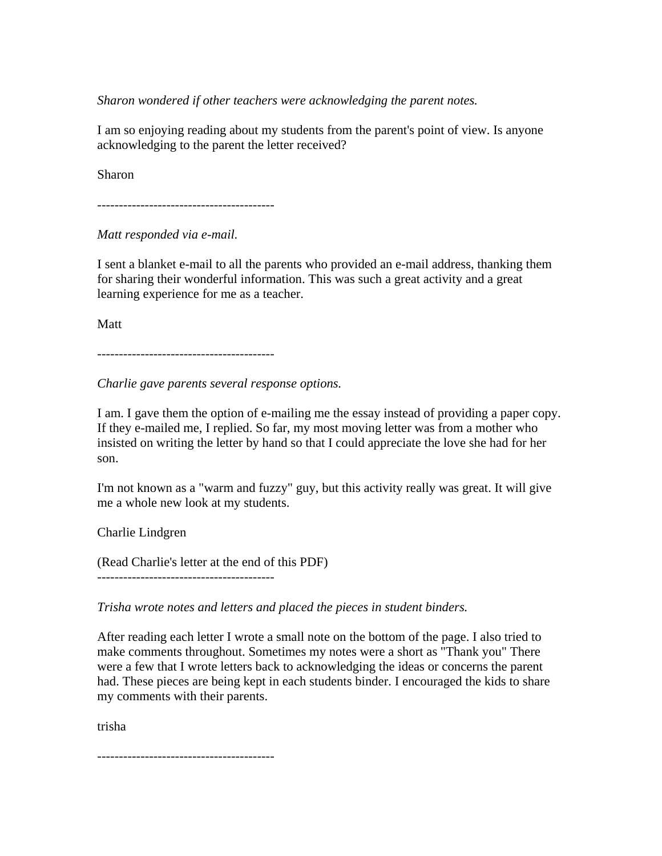*Sharon wondered if other teachers were acknowledging the parent notes.*

I am so enjoying reading about my students from the parent's point of view. Is anyone acknowledging to the parent the letter received?

Sharon

-----------------------------------------

*Matt responded via e-mail.*

I sent a blanket e-mail to all the parents who provided an e-mail address, thanking them for sharing their wonderful information. This was such a great activity and a great learning experience for me as a teacher.

Matt

-----------------------------------------

*Charlie gave parents several response options.*

I am. I gave them the option of e-mailing me the essay instead of providing a paper copy. If they e-mailed me, I replied. So far, my most moving letter was from a mother who insisted on writing the letter by hand so that I could appreciate the love she had for her son.

I'm not known as a "warm and fuzzy" guy, but this activity really was great. It will give me a whole new look at my students.

Charlie Lindgren

(Read Charlie's letter at the end of this PDF)

-----------------------------------------

*Trisha wrote notes and letters and placed the pieces in student binders.*

After reading each letter I wrote a small note on the bottom of the page. I also tried to make comments throughout. Sometimes my notes were a short as "Thank you" There were a few that I wrote letters back to acknowledging the ideas or concerns the parent had. These pieces are being kept in each students binder. I encouraged the kids to share my comments with their parents.

trisha

-----------------------------------------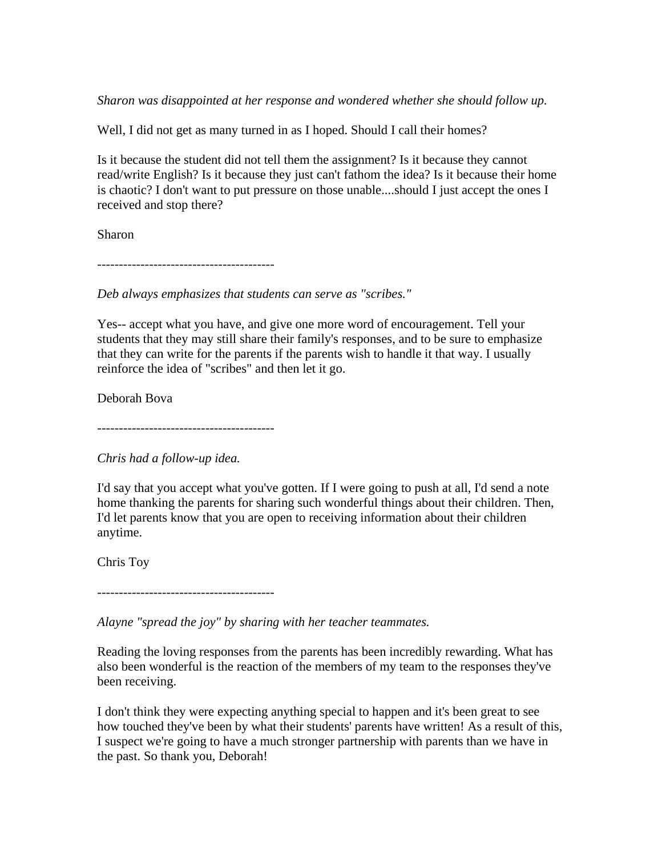*Sharon was disappointed at her response and wondered whether she should follow up.*

Well, I did not get as many turned in as I hoped. Should I call their homes?

Is it because the student did not tell them the assignment? Is it because they cannot read/write English? Is it because they just can't fathom the idea? Is it because their home is chaotic? I don't want to put pressure on those unable....should I just accept the ones I received and stop there?

Sharon

-----------------------------------------

*Deb always emphasizes that students can serve as "scribes."*

Yes-- accept what you have, and give one more word of encouragement. Tell your students that they may still share their family's responses, and to be sure to emphasize that they can write for the parents if the parents wish to handle it that way. I usually reinforce the idea of "scribes" and then let it go.

Deborah Bova

-----------------------------------------

*Chris had a follow-up idea.*

I'd say that you accept what you've gotten. If I were going to push at all, I'd send a note home thanking the parents for sharing such wonderful things about their children. Then, I'd let parents know that you are open to receiving information about their children anytime.

Chris Toy

-----------------------------------------

*Alayne "spread the joy" by sharing with her teacher teammates.*

Reading the loving responses from the parents has been incredibly rewarding. What has also been wonderful is the reaction of the members of my team to the responses they've been receiving.

I don't think they were expecting anything special to happen and it's been great to see how touched they've been by what their students' parents have written! As a result of this, I suspect we're going to have a much stronger partnership with parents than we have in the past. So thank you, Deborah!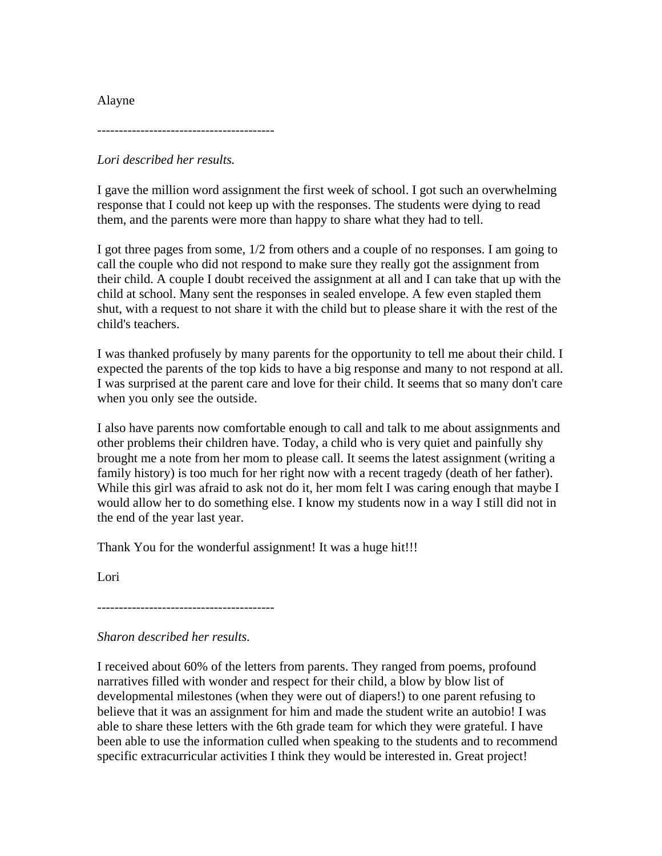Alayne

-----------------------------------------

*Lori described her results.*

I gave the million word assignment the first week of school. I got such an overwhelming response that I could not keep up with the responses. The students were dying to read them, and the parents were more than happy to share what they had to tell.

I got three pages from some, 1/2 from others and a couple of no responses. I am going to call the couple who did not respond to make sure they really got the assignment from their child. A couple I doubt received the assignment at all and I can take that up with the child at school. Many sent the responses in sealed envelope. A few even stapled them shut, with a request to not share it with the child but to please share it with the rest of the child's teachers.

I was thanked profusely by many parents for the opportunity to tell me about their child. I expected the parents of the top kids to have a big response and many to not respond at all. I was surprised at the parent care and love for their child. It seems that so many don't care when you only see the outside.

I also have parents now comfortable enough to call and talk to me about assignments and other problems their children have. Today, a child who is very quiet and painfully shy brought me a note from her mom to please call. It seems the latest assignment (writing a family history) is too much for her right now with a recent tragedy (death of her father). While this girl was afraid to ask not do it, her mom felt I was caring enough that maybe I would allow her to do something else. I know my students now in a way I still did not in the end of the year last year.

Thank You for the wonderful assignment! It was a huge hit!!!

Lori

-----------------------------------------

*Sharon described her results.*

I received about 60% of the letters from parents. They ranged from poems, profound narratives filled with wonder and respect for their child, a blow by blow list of developmental milestones (when they were out of diapers!) to one parent refusing to believe that it was an assignment for him and made the student write an autobio! I was able to share these letters with the 6th grade team for which they were grateful. I have been able to use the information culled when speaking to the students and to recommend specific extracurricular activities I think they would be interested in. Great project!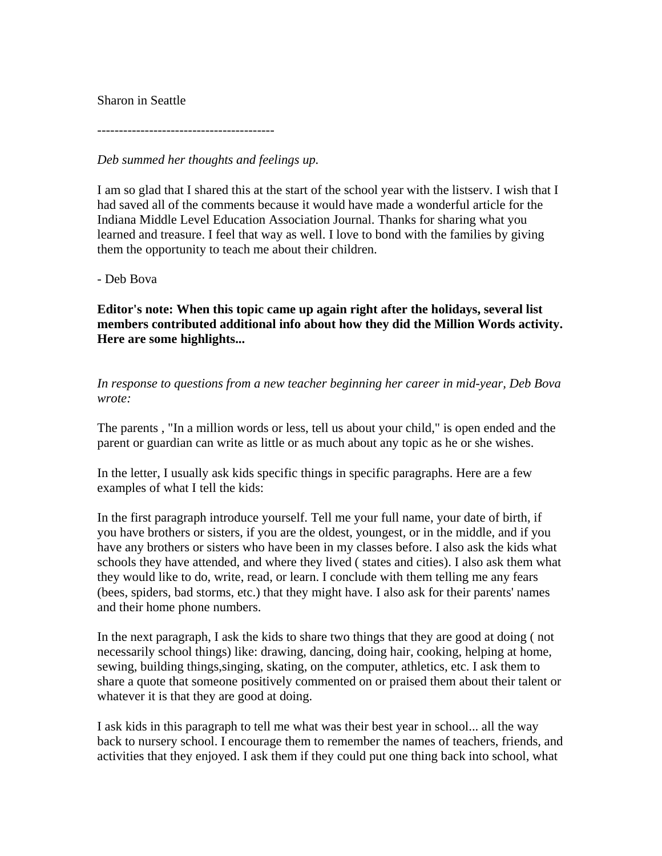## Sharon in Seattle

-----------------------------------------

*Deb summed her thoughts and feelings up.*

I am so glad that I shared this at the start of the school year with the listserv. I wish that I had saved all of the comments because it would have made a wonderful article for the Indiana Middle Level Education Association Journal. Thanks for sharing what you learned and treasure. I feel that way as well. I love to bond with the families by giving them the opportunity to teach me about their children.

- Deb Bova

**Editor's note: When this topic came up again right after the holidays, several list members contributed additional info about how they did the Million Words activity. Here are some highlights...**

*In response to questions from a new teacher beginning her career in mid-year, Deb Bova wrote:*

The parents , "In a million words or less, tell us about your child," is open ended and the parent or guardian can write as little or as much about any topic as he or she wishes.

In the letter, I usually ask kids specific things in specific paragraphs. Here are a few examples of what I tell the kids:

In the first paragraph introduce yourself. Tell me your full name, your date of birth, if you have brothers or sisters, if you are the oldest, youngest, or in the middle, and if you have any brothers or sisters who have been in my classes before. I also ask the kids what schools they have attended, and where they lived ( states and cities). I also ask them what they would like to do, write, read, or learn. I conclude with them telling me any fears (bees, spiders, bad storms, etc.) that they might have. I also ask for their parents' names and their home phone numbers.

In the next paragraph, I ask the kids to share two things that they are good at doing ( not necessarily school things) like: drawing, dancing, doing hair, cooking, helping at home, sewing, building things,singing, skating, on the computer, athletics, etc. I ask them to share a quote that someone positively commented on or praised them about their talent or whatever it is that they are good at doing.

I ask kids in this paragraph to tell me what was their best year in school... all the way back to nursery school. I encourage them to remember the names of teachers, friends, and activities that they enjoyed. I ask them if they could put one thing back into school, what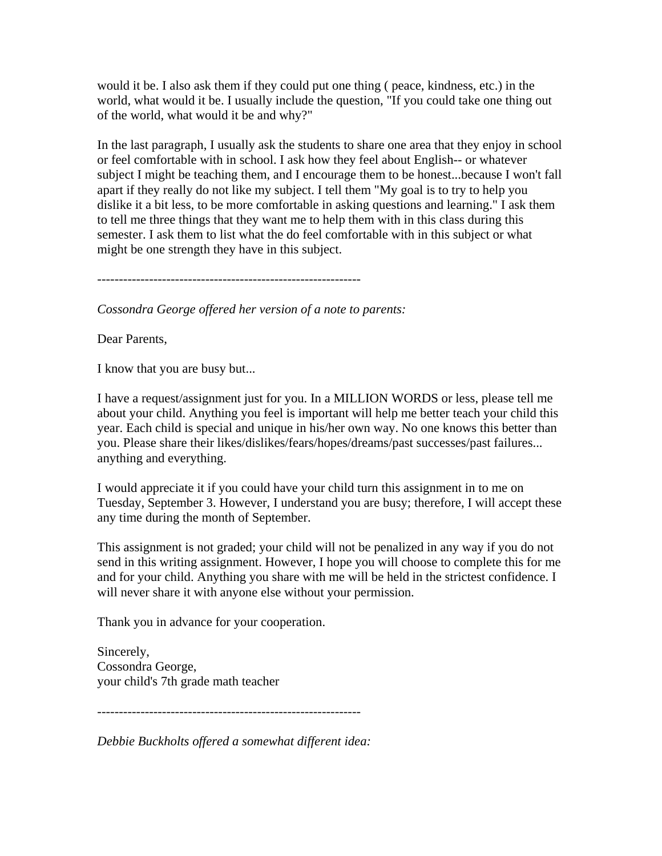would it be. I also ask them if they could put one thing ( peace, kindness, etc.) in the world, what would it be. I usually include the question, "If you could take one thing out of the world, what would it be and why?"

In the last paragraph, I usually ask the students to share one area that they enjoy in school or feel comfortable with in school. I ask how they feel about English-- or whatever subject I might be teaching them, and I encourage them to be honest...because I won't fall apart if they really do not like my subject. I tell them "My goal is to try to help you dislike it a bit less, to be more comfortable in asking questions and learning." I ask them to tell me three things that they want me to help them with in this class during this semester. I ask them to list what the do feel comfortable with in this subject or what might be one strength they have in this subject.

-------------------------------------------------------------

*Cossondra George offered her version of a note to parents:*

Dear Parents,

I know that you are busy but...

I have a request/assignment just for you. In a MILLION WORDS or less, please tell me about your child. Anything you feel is important will help me better teach your child this year. Each child is special and unique in his/her own way. No one knows this better than you. Please share their likes/dislikes/fears/hopes/dreams/past successes/past failures... anything and everything.

I would appreciate it if you could have your child turn this assignment in to me on Tuesday, September 3. However, I understand you are busy; therefore, I will accept these any time during the month of September.

This assignment is not graded; your child will not be penalized in any way if you do not send in this writing assignment. However, I hope you will choose to complete this for me and for your child. Anything you share with me will be held in the strictest confidence. I will never share it with anyone else without your permission.

Thank you in advance for your cooperation.

Sincerely, Cossondra George, your child's 7th grade math teacher

-------------------------------------------------------------

*Debbie Buckholts offered a somewhat different idea:*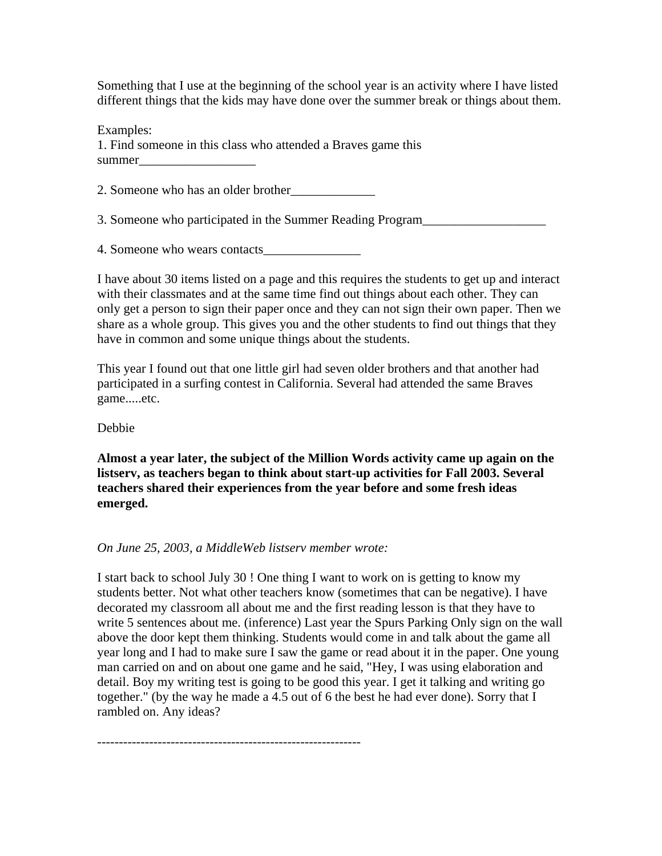Something that I use at the beginning of the school year is an activity where I have listed different things that the kids may have done over the summer break or things about them.

Examples:

1. Find someone in this class who attended a Braves game this summer

2. Someone who has an older brother\_\_\_\_\_\_\_\_\_\_\_\_\_

3. Someone who participated in the Summer Reading Program\_\_\_\_\_\_\_\_\_\_\_\_\_\_\_\_\_\_\_\_\_\_\_

4. Someone who wears contacts\_\_\_\_\_\_\_\_\_\_\_\_\_\_\_

I have about 30 items listed on a page and this requires the students to get up and interact with their classmates and at the same time find out things about each other. They can only get a person to sign their paper once and they can not sign their own paper. Then we share as a whole group. This gives you and the other students to find out things that they have in common and some unique things about the students.

This year I found out that one little girl had seven older brothers and that another had participated in a surfing contest in California. Several had attended the same Braves game.....etc.

Debbie

**Almost a year later, the subject of the Million Words activity came up again on the listserv, as teachers began to think about start-up activities for Fall 2003. Several teachers shared their experiences from the year before and some fresh ideas emerged.**

## *On June 25, 2003, a MiddleWeb listserv member wrote:*

I start back to school July 30 ! One thing I want to work on is getting to know my students better. Not what other teachers know (sometimes that can be negative). I have decorated my classroom all about me and the first reading lesson is that they have to write 5 sentences about me. (inference) Last year the Spurs Parking Only sign on the wall above the door kept them thinking. Students would come in and talk about the game all year long and I had to make sure I saw the game or read about it in the paper. One young man carried on and on about one game and he said, "Hey, I was using elaboration and detail. Boy my writing test is going to be good this year. I get it talking and writing go together." (by the way he made a 4.5 out of 6 the best he had ever done). Sorry that I rambled on. Any ideas?

-------------------------------------------------------------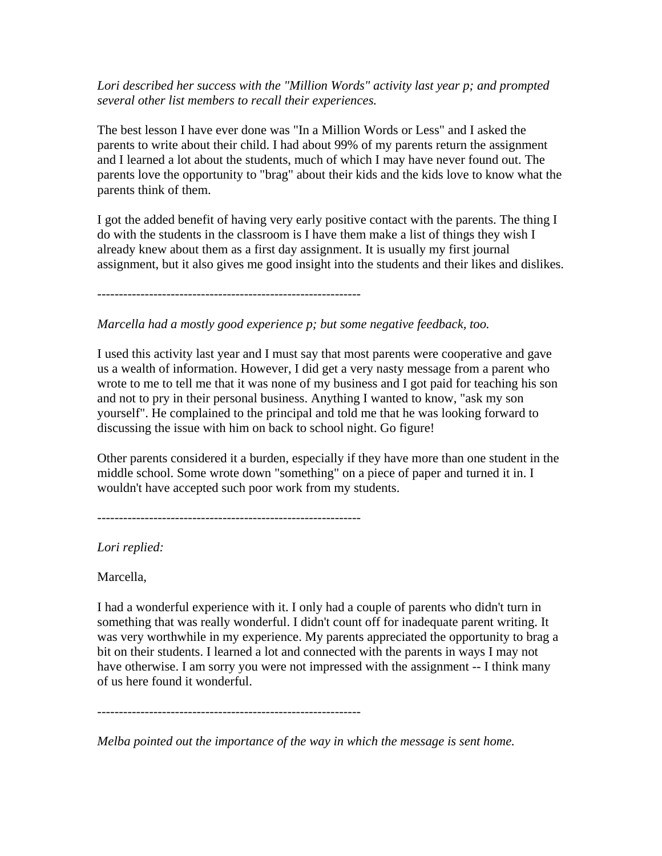## *Lori described her success with the "Million Words" activity last year p; and prompted several other list members to recall their experiences.*

The best lesson I have ever done was "In a Million Words or Less" and I asked the parents to write about their child. I had about 99% of my parents return the assignment and I learned a lot about the students, much of which I may have never found out. The parents love the opportunity to "brag" about their kids and the kids love to know what the parents think of them.

I got the added benefit of having very early positive contact with the parents. The thing I do with the students in the classroom is I have them make a list of things they wish I already knew about them as a first day assignment. It is usually my first journal assignment, but it also gives me good insight into the students and their likes and dislikes.

-------------------------------------------------------------

*Marcella had a mostly good experience p; but some negative feedback, too.*

I used this activity last year and I must say that most parents were cooperative and gave us a wealth of information. However, I did get a very nasty message from a parent who wrote to me to tell me that it was none of my business and I got paid for teaching his son and not to pry in their personal business. Anything I wanted to know, "ask my son yourself". He complained to the principal and told me that he was looking forward to discussing the issue with him on back to school night. Go figure!

Other parents considered it a burden, especially if they have more than one student in the middle school. Some wrote down "something" on a piece of paper and turned it in. I wouldn't have accepted such poor work from my students.

-------------------------------------------------------------

*Lori replied:*

Marcella,

I had a wonderful experience with it. I only had a couple of parents who didn't turn in something that was really wonderful. I didn't count off for inadequate parent writing. It was very worthwhile in my experience. My parents appreciated the opportunity to brag a bit on their students. I learned a lot and connected with the parents in ways I may not have otherwise. I am sorry you were not impressed with the assignment -- I think many of us here found it wonderful.

-------------------------------------------------------------

*Melba pointed out the importance of the way in which the message is sent home.*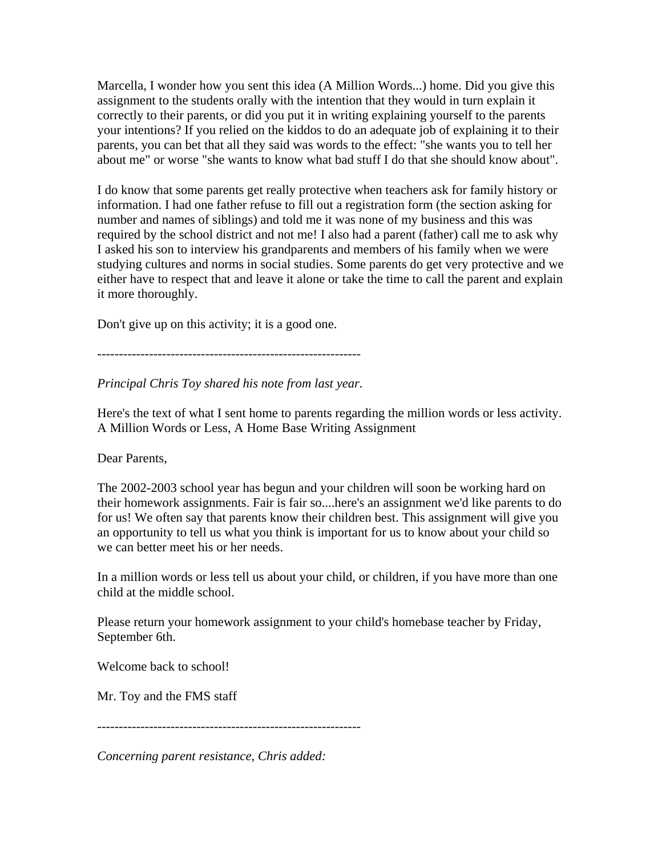Marcella, I wonder how you sent this idea (A Million Words...) home. Did you give this assignment to the students orally with the intention that they would in turn explain it correctly to their parents, or did you put it in writing explaining yourself to the parents your intentions? If you relied on the kiddos to do an adequate job of explaining it to their parents, you can bet that all they said was words to the effect: "she wants you to tell her about me" or worse "she wants to know what bad stuff I do that she should know about".

I do know that some parents get really protective when teachers ask for family history or information. I had one father refuse to fill out a registration form (the section asking for number and names of siblings) and told me it was none of my business and this was required by the school district and not me! I also had a parent (father) call me to ask why I asked his son to interview his grandparents and members of his family when we were studying cultures and norms in social studies. Some parents do get very protective and we either have to respect that and leave it alone or take the time to call the parent and explain it more thoroughly.

Don't give up on this activity; it is a good one.

-------------------------------------------------------------

*Principal Chris Toy shared his note from last year.*

Here's the text of what I sent home to parents regarding the million words or less activity. A Million Words or Less, A Home Base Writing Assignment

Dear Parents,

The 2002-2003 school year has begun and your children will soon be working hard on their homework assignments. Fair is fair so....here's an assignment we'd like parents to do for us! We often say that parents know their children best. This assignment will give you an opportunity to tell us what you think is important for us to know about your child so we can better meet his or her needs.

In a million words or less tell us about your child, or children, if you have more than one child at the middle school.

Please return your homework assignment to your child's homebase teacher by Friday, September 6th.

Welcome back to school!

Mr. Toy and the FMS staff

-------------------------------------------------------------

*Concerning parent resistance, Chris added:*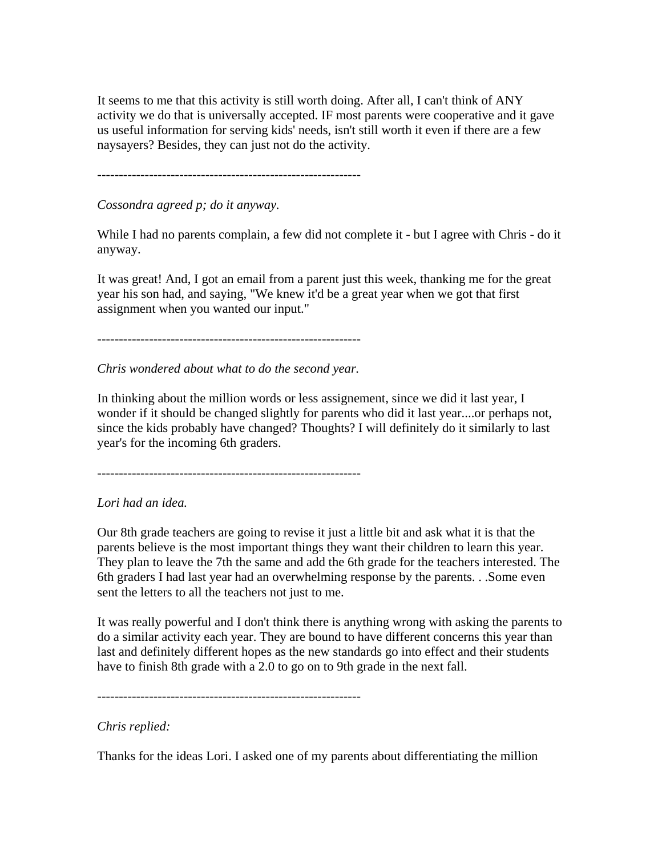It seems to me that this activity is still worth doing. After all, I can't think of ANY activity we do that is universally accepted. IF most parents were cooperative and it gave us useful information for serving kids' needs, isn't still worth it even if there are a few naysayers? Besides, they can just not do the activity.

-------------------------------------------------------------

*Cossondra agreed p; do it anyway.*

While I had no parents complain, a few did not complete it - but I agree with Chris - do it anyway.

It was great! And, I got an email from a parent just this week, thanking me for the great year his son had, and saying, "We knew it'd be a great year when we got that first assignment when you wanted our input."

-------------------------------------------------------------

*Chris wondered about what to do the second year.*

In thinking about the million words or less assignement, since we did it last year, I wonder if it should be changed slightly for parents who did it last year....or perhaps not, since the kids probably have changed? Thoughts? I will definitely do it similarly to last year's for the incoming 6th graders.

-------------------------------------------------------------

## *Lori had an idea.*

Our 8th grade teachers are going to revise it just a little bit and ask what it is that the parents believe is the most important things they want their children to learn this year. They plan to leave the 7th the same and add the 6th grade for the teachers interested. The 6th graders I had last year had an overwhelming response by the parents. . .Some even sent the letters to all the teachers not just to me.

It was really powerful and I don't think there is anything wrong with asking the parents to do a similar activity each year. They are bound to have different concerns this year than last and definitely different hopes as the new standards go into effect and their students have to finish 8th grade with a 2.0 to go on to 9th grade in the next fall.

-------------------------------------------------------------

## *Chris replied:*

Thanks for the ideas Lori. I asked one of my parents about differentiating the million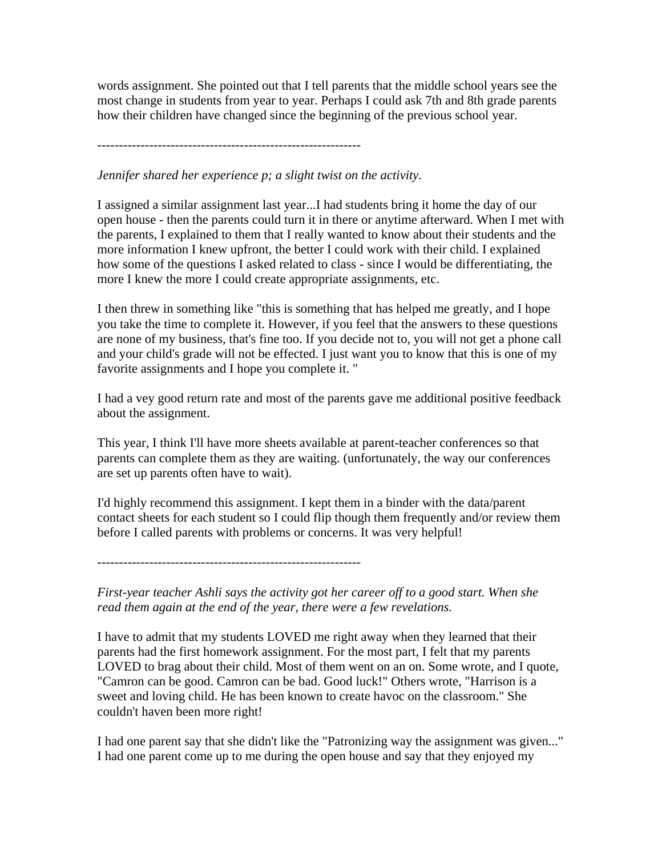words assignment. She pointed out that I tell parents that the middle school years see the most change in students from year to year. Perhaps I could ask 7th and 8th grade parents how their children have changed since the beginning of the previous school year.

-------------------------------------------------------------

*Jennifer shared her experience p; a slight twist on the activity.*

I assigned a similar assignment last year...I had students bring it home the day of our open house - then the parents could turn it in there or anytime afterward. When I met with the parents, I explained to them that I really wanted to know about their students and the more information I knew upfront, the better I could work with their child. I explained how some of the questions I asked related to class - since I would be differentiating, the more I knew the more I could create appropriate assignments, etc.

I then threw in something like "this is something that has helped me greatly, and I hope you take the time to complete it. However, if you feel that the answers to these questions are none of my business, that's fine too. If you decide not to, you will not get a phone call and your child's grade will not be effected. I just want you to know that this is one of my favorite assignments and I hope you complete it. "

I had a vey good return rate and most of the parents gave me additional positive feedback about the assignment.

This year, I think I'll have more sheets available at parent-teacher conferences so that parents can complete them as they are waiting. (unfortunately, the way our conferences are set up parents often have to wait).

I'd highly recommend this assignment. I kept them in a binder with the data/parent contact sheets for each student so I could flip though them frequently and/or review them before I called parents with problems or concerns. It was very helpful!

-------------------------------------------------------------

*First-year teacher Ashli says the activity got her career off to a good start. When she read them again at the end of the year, there were a few revelations.*

I have to admit that my students LOVED me right away when they learned that their parents had the first homework assignment. For the most part, I felt that my parents LOVED to brag about their child. Most of them went on an on. Some wrote, and I quote, "Camron can be good. Camron can be bad. Good luck!" Others wrote, "Harrison is a sweet and loving child. He has been known to create havoc on the classroom." She couldn't haven been more right!

I had one parent say that she didn't like the "Patronizing way the assignment was given..." I had one parent come up to me during the open house and say that they enjoyed my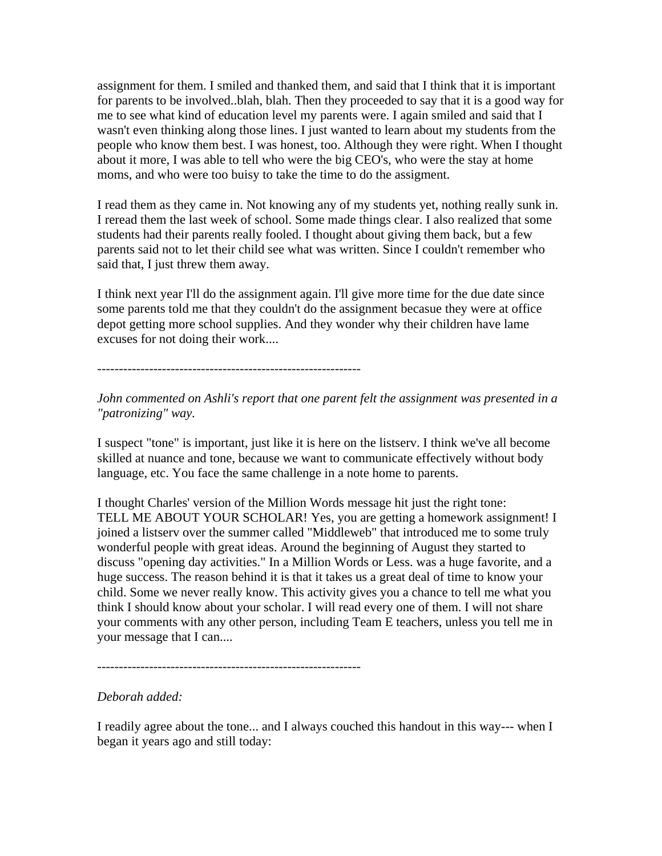assignment for them. I smiled and thanked them, and said that I think that it is important for parents to be involved..blah, blah. Then they proceeded to say that it is a good way for me to see what kind of education level my parents were. I again smiled and said that I wasn't even thinking along those lines. I just wanted to learn about my students from the people who know them best. I was honest, too. Although they were right. When I thought about it more, I was able to tell who were the big CEO's, who were the stay at home moms, and who were too buisy to take the time to do the assigment.

I read them as they came in. Not knowing any of my students yet, nothing really sunk in. I reread them the last week of school. Some made things clear. I also realized that some students had their parents really fooled. I thought about giving them back, but a few parents said not to let their child see what was written. Since I couldn't remember who said that, I just threw them away.

I think next year I'll do the assignment again. I'll give more time for the due date since some parents told me that they couldn't do the assignment becasue they were at office depot getting more school supplies. And they wonder why their children have lame excuses for not doing their work....

-------------------------------------------------------------

*John commented on Ashli's report that one parent felt the assignment was presented in a "patronizing" way.*

I suspect "tone" is important, just like it is here on the listserv. I think we've all become skilled at nuance and tone, because we want to communicate effectively without body language, etc. You face the same challenge in a note home to parents.

I thought Charles' version of the Million Words message hit just the right tone: TELL ME ABOUT YOUR SCHOLAR! Yes, you are getting a homework assignment! I joined a listserv over the summer called "Middleweb" that introduced me to some truly wonderful people with great ideas. Around the beginning of August they started to discuss "opening day activities." In a Million Words or Less. was a huge favorite, and a huge success. The reason behind it is that it takes us a great deal of time to know your child. Some we never really know. This activity gives you a chance to tell me what you think I should know about your scholar. I will read every one of them. I will not share your comments with any other person, including Team E teachers, unless you tell me in your message that I can....

-------------------------------------------------------------

## *Deborah added:*

I readily agree about the tone... and I always couched this handout in this way--- when I began it years ago and still today: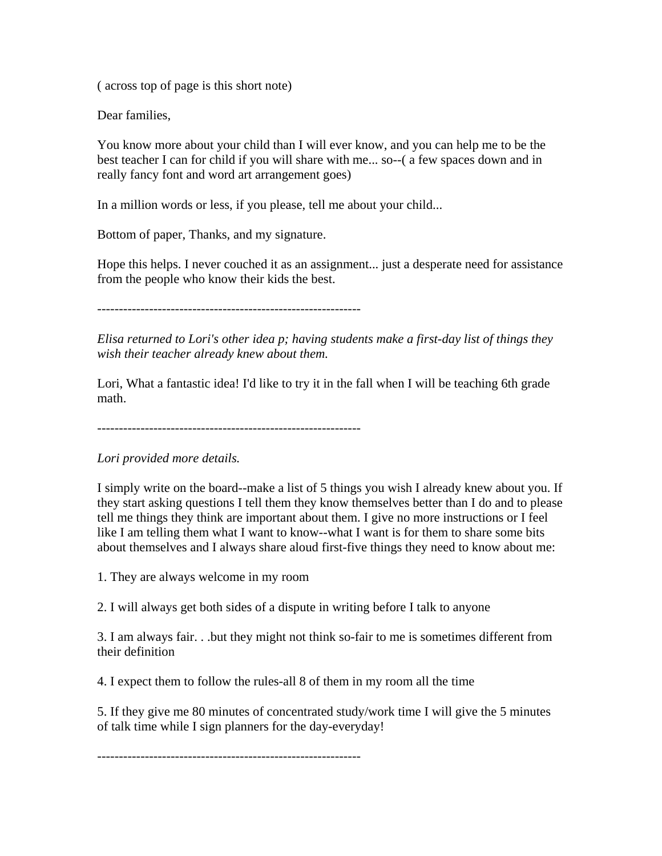( across top of page is this short note)

Dear families,

You know more about your child than I will ever know, and you can help me to be the best teacher I can for child if you will share with me... so--( a few spaces down and in really fancy font and word art arrangement goes)

In a million words or less, if you please, tell me about your child...

Bottom of paper, Thanks, and my signature.

Hope this helps. I never couched it as an assignment... just a desperate need for assistance from the people who know their kids the best.

-------------------------------------------------------------

*Elisa returned to Lori's other idea p; having students make a first-day list of things they wish their teacher already knew about them.*

Lori, What a fantastic idea! I'd like to try it in the fall when I will be teaching 6th grade math.

-------------------------------------------------------------

*Lori provided more details.*

I simply write on the board--make a list of 5 things you wish I already knew about you. If they start asking questions I tell them they know themselves better than I do and to please tell me things they think are important about them. I give no more instructions or I feel like I am telling them what I want to know--what I want is for them to share some bits about themselves and I always share aloud first-five things they need to know about me:

1. They are always welcome in my room

2. I will always get both sides of a dispute in writing before I talk to anyone

3. I am always fair. . .but they might not think so-fair to me is sometimes different from their definition

4. I expect them to follow the rules-all 8 of them in my room all the time

5. If they give me 80 minutes of concentrated study/work time I will give the 5 minutes of talk time while I sign planners for the day-everyday!

-------------------------------------------------------------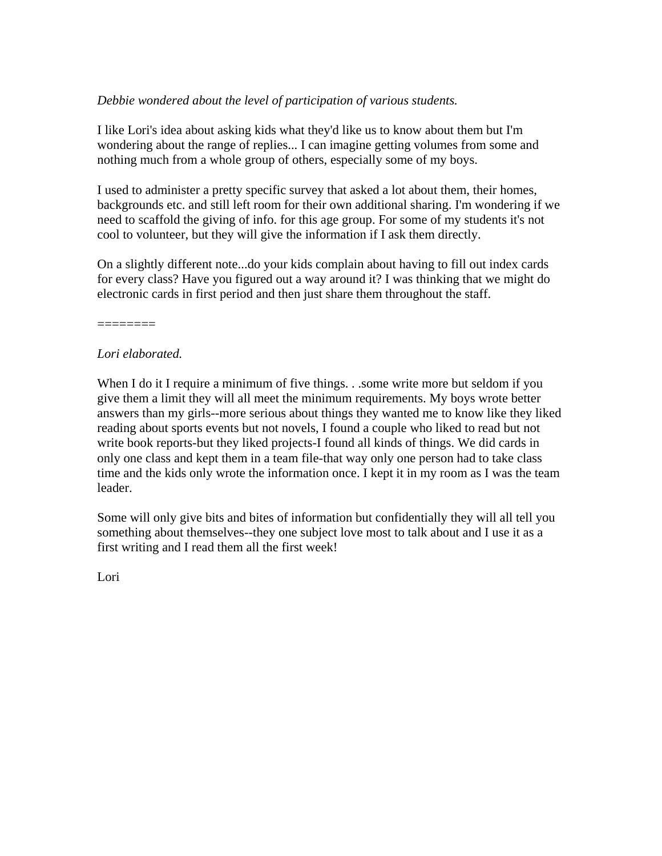# *Debbie wondered about the level of participation of various students.*

I like Lori's idea about asking kids what they'd like us to know about them but I'm wondering about the range of replies... I can imagine getting volumes from some and nothing much from a whole group of others, especially some of my boys.

I used to administer a pretty specific survey that asked a lot about them, their homes, backgrounds etc. and still left room for their own additional sharing. I'm wondering if we need to scaffold the giving of info. for this age group. For some of my students it's not cool to volunteer, but they will give the information if I ask them directly.

On a slightly different note...do your kids complain about having to fill out index cards for every class? Have you figured out a way around it? I was thinking that we might do electronic cards in first period and then just share them throughout the staff.

========

# *Lori elaborated.*

When I do it I require a minimum of five things. . .some write more but seldom if you give them a limit they will all meet the minimum requirements. My boys wrote better answers than my girls--more serious about things they wanted me to know like they liked reading about sports events but not novels, I found a couple who liked to read but not write book reports-but they liked projects-I found all kinds of things. We did cards in only one class and kept them in a team file-that way only one person had to take class time and the kids only wrote the information once. I kept it in my room as I was the team leader.

Some will only give bits and bites of information but confidentially they will all tell you something about themselves--they one subject love most to talk about and I use it as a first writing and I read them all the first week!

Lori